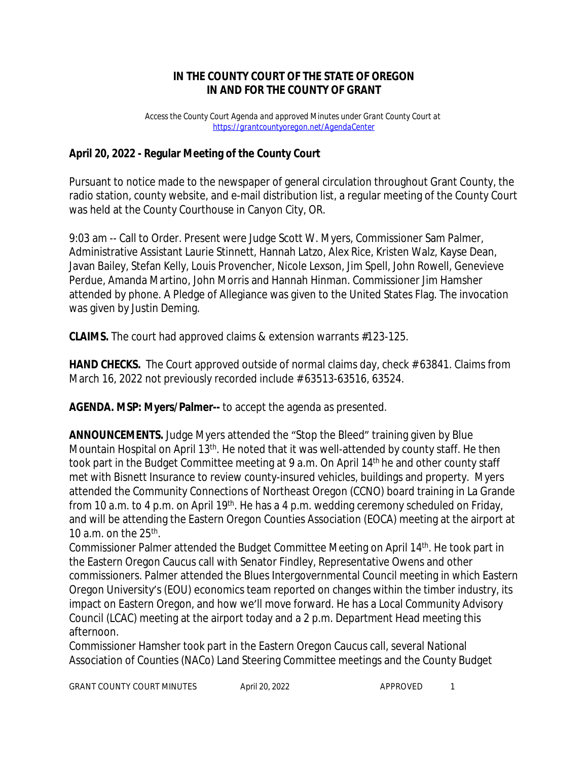## **IN THE COUNTY COURT OF THE STATE OF OREGON IN AND FOR THE COUNTY OF GRANT**

*Access the County Court Agenda and approved Minutes under Grant County Court at <https://grantcountyoregon.net/AgendaCenter>*

## **April 20, 2022 - Regular Meeting of the County Court**

Pursuant to notice made to the newspaper of general circulation throughout Grant County, the radio station, county website, and e-mail distribution list, a regular meeting of the County Court was held at the County Courthouse in Canyon City, OR.

9:03 am -- Call to Order. Present were Judge Scott W. Myers, Commissioner Sam Palmer, Administrative Assistant Laurie Stinnett, Hannah Latzo, Alex Rice, Kristen Walz, Kayse Dean, Javan Bailey, Stefan Kelly, Louis Provencher, Nicole Lexson, Jim Spell, John Rowell, Genevieve Perdue, Amanda Martino, John Morris and Hannah Hinman. Commissioner Jim Hamsher attended by phone. A Pledge of Allegiance was given to the United States Flag. The invocation was given by Justin Deming.

**CLAIMS.** The court had approved claims & extension warrants #123-125.

**HAND CHECKS.** The Court approved outside of normal claims day, check # 63841. Claims from March 16, 2022 not previously recorded include # 63513-63516, 63524.

**AGENDA. MSP: Myers/Palmer--** to accept the agenda as presented.

**ANNOUNCEMENTS.** Judge Myers attended the "Stop the Bleed" training given by Blue Mountain Hospital on April 13<sup>th</sup>. He noted that it was well-attended by county staff. He then took part in the Budget Committee meeting at 9 a.m. On April 14<sup>th</sup> he and other county staff met with Bisnett Insurance to review county-insured vehicles, buildings and property. Myers attended the Community Connections of Northeast Oregon (CCNO) board training in La Grande from 10 a.m. to 4 p.m. on April 19<sup>th</sup>. He has a 4 p.m. wedding ceremony scheduled on Friday, and will be attending the Eastern Oregon Counties Association (EOCA) meeting at the airport at 10 a.m. on the  $25<sup>th</sup>$ .

Commissioner Palmer attended the Budget Committee Meeting on April 14th. He took part in the Eastern Oregon Caucus call with Senator Findley, Representative Owens and other commissioners. Palmer attended the Blues Intergovernmental Council meeting in which Eastern Oregon University's (EOU) economics team reported on changes within the timber industry, its impact on Eastern Oregon, and how we'll move forward. He has a Local Community Advisory Council (LCAC) meeting at the airport today and a 2 p.m. Department Head meeting this afternoon.

Commissioner Hamsher took part in the Eastern Oregon Caucus call, several National Association of Counties (NACo) Land Steering Committee meetings and the County Budget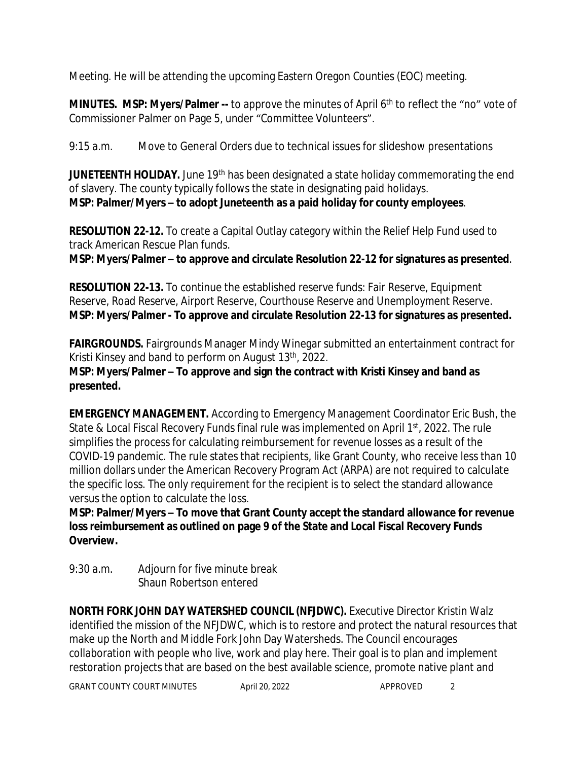Meeting. He will be attending the upcoming Eastern Oregon Counties (EOC) meeting.

**MINUTES. MSP: Myers/Palmer --** to approve the minutes of April 6<sup>th</sup> to reflect the "no" vote of Commissioner Palmer on Page 5, under "Committee Volunteers".

9:15 a.m. Move to General Orders due to technical issues for slideshow presentations

**JUNETEENTH HOLIDAY.** June 19<sup>th</sup> has been designated a state holiday commemorating the end of slavery. The county typically follows the state in designating paid holidays. **MSP: Palmer/Myers – to adopt Juneteenth as a paid holiday for county employees**.

**RESOLUTION 22-12.** To create a Capital Outlay category within the Relief Help Fund used to track American Rescue Plan funds.

**MSP: Myers/Palmer – to approve and circulate Resolution 22-12 for signatures as presented**.

**RESOLUTION 22-13.** To continue the established reserve funds: Fair Reserve, Equipment Reserve, Road Reserve, Airport Reserve, Courthouse Reserve and Unemployment Reserve. **MSP: Myers/Palmer - To approve and circulate Resolution 22-13 for signatures as presented.**

**FAIRGROUNDS.** Fairgrounds Manager Mindy Winegar submitted an entertainment contract for Kristi Kinsey and band to perform on August 13th, 2022.

**MSP: Myers/Palmer – To approve and sign the contract with Kristi Kinsey and band as presented.**

**EMERGENCY MANAGEMENT.** According to Emergency Management Coordinator Eric Bush, the State & Local Fiscal Recovery Funds final rule was implemented on April 1<sup>st</sup>, 2022. The rule simplifies the process for calculating reimbursement for revenue losses as a result of the COVID-19 pandemic. The rule states that recipients, like Grant County, who receive less than 10 million dollars under the American Recovery Program Act (ARPA) are not required to calculate the specific loss. The only requirement for the recipient is to select the standard allowance versus the option to calculate the loss.

**MSP: Palmer/Myers – To move that Grant County accept the standard allowance for revenue loss reimbursement as outlined on page 9 of the State and Local Fiscal Recovery Funds Overview.** 

9:30 a.m. Adjourn for five minute break Shaun Robertson entered

**NORTH FORK JOHN DAY WATERSHED COUNCIL (NFJDWC).** Executive Director Kristin Walz identified the mission of the NFJDWC, which is to restore and protect the natural resources that make up the North and Middle Fork John Day Watersheds. The Council encourages collaboration with people who live, work and play here. Their goal is to plan and implement restoration projects that are based on the best available science, promote native plant and

GRANT COUNTY COURT MINUTES April 20, 2022 APPROVED 2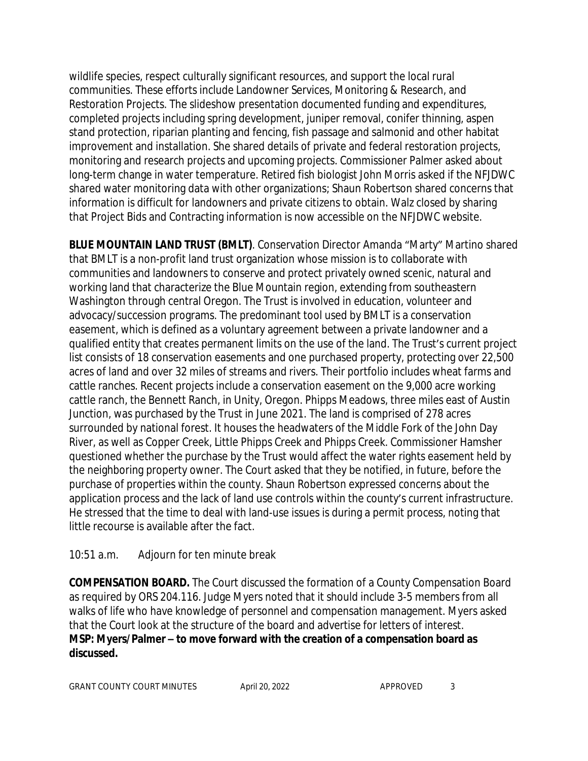wildlife species, respect culturally significant resources, and support the local rural communities. These efforts include Landowner Services, Monitoring & Research, and Restoration Projects. The slideshow presentation documented funding and expenditures, completed projects including spring development, juniper removal, conifer thinning, aspen stand protection, riparian planting and fencing, fish passage and salmonid and other habitat improvement and installation. She shared details of private and federal restoration projects, monitoring and research projects and upcoming projects. Commissioner Palmer asked about long-term change in water temperature. Retired fish biologist John Morris asked if the NFJDWC shared water monitoring data with other organizations; Shaun Robertson shared concerns that information is difficult for landowners and private citizens to obtain. Walz closed by sharing that Project Bids and Contracting information is now accessible on the NFJDWC website.

**BLUE MOUNTAIN LAND TRUST (BMLT)**. Conservation Director Amanda "Marty" Martino shared that BMLT is a non-profit land trust organization whose mission is to collaborate with communities and landowners to conserve and protect privately owned scenic, natural and working land that characterize the Blue Mountain region, extending from southeastern Washington through central Oregon. The Trust is involved in education, volunteer and advocacy/succession programs. The predominant tool used by BMLT is a conservation easement, which is defined as a voluntary agreement between a private landowner and a qualified entity that creates permanent limits on the use of the land. The Trust's current project list consists of 18 conservation easements and one purchased property, protecting over 22,500 acres of land and over 32 miles of streams and rivers. Their portfolio includes wheat farms and cattle ranches. Recent projects include a conservation easement on the 9,000 acre working cattle ranch, the Bennett Ranch, in Unity, Oregon. Phipps Meadows, three miles east of Austin Junction, was purchased by the Trust in June 2021. The land is comprised of 278 acres surrounded by national forest. It houses the headwaters of the Middle Fork of the John Day River, as well as Copper Creek, Little Phipps Creek and Phipps Creek. Commissioner Hamsher questioned whether the purchase by the Trust would affect the water rights easement held by the neighboring property owner. The Court asked that they be notified, in future, before the purchase of properties within the county. Shaun Robertson expressed concerns about the application process and the lack of land use controls within the county's current infrastructure. He stressed that the time to deal with land-use issues is during a permit process, noting that little recourse is available after the fact.

## 10:51 a.m. Adjourn for ten minute break

**COMPENSATION BOARD.** The Court discussed the formation of a County Compensation Board as required by ORS 204.116. Judge Myers noted that it should include 3-5 members from all walks of life who have knowledge of personnel and compensation management. Myers asked that the Court look at the structure of the board and advertise for letters of interest. **MSP: Myers/Palmer – to move forward with the creation of a compensation board as discussed.**